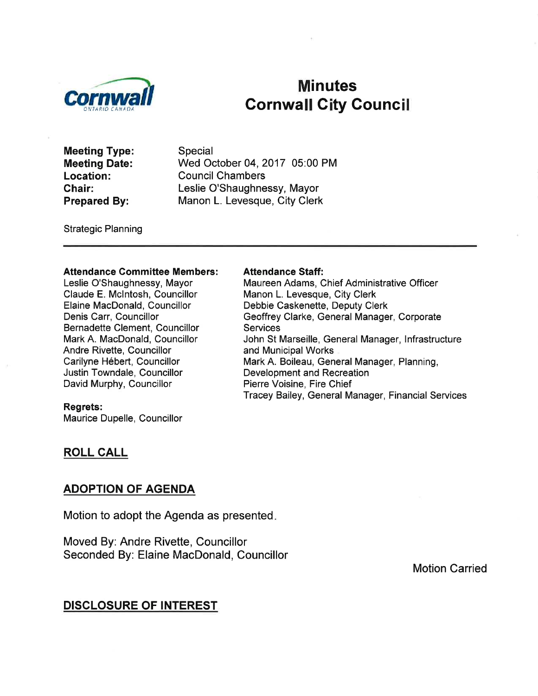

# Minutes **Cornwall City Council**

Meeting Type: Meeting Date: Location: Chair: Prepared By:

Special Wed October 04, 2017 05:00 PM Council Chambers Leslie O'Shaughnessy, Mayor Manon L. Levesque, City Clerk

Strategic Planning

#### Attendance Committee Members:

Leslie O'Shaughnessy, Mayor Claude E. Mclntosh, Councillor Elaine MacDonald, Councillor Denis Carr, Councillor Bernadette Clement, Councillor Mark A. MacDonald, Councillor Andre Rivette, Councillor Carilyne Hébert, Councillor Justin Towndale, Councillor David Murphy, Councillor

#### Attendance Staff:

Maureen Adams, Chief Administrative Officer Manon L. Levesque, City Clerk Debbie Caskenette, Deputy Clerk Geoffrey Clarke, General Manager, Corporate **Services** John St Marseille, General Manager, lnfrastructure and Municipal Works Mark A. Boileau, General Manager, Planning, Development and Recreation Pierre Voisine, Fire Chief Tracey Bailey, General Manager, Financial Services

#### Regrets:

Maurice Dupelle, Councillor

#### ROLL CALL

#### ADOPTION OF AGENDA

Motion to adopt the Agenda as presented

Moved By: Andre Rivette, Councillor Seconded By: Elaine MacDonald, Councillor

Motion Carried

## DISGLOSURE OF INTEREST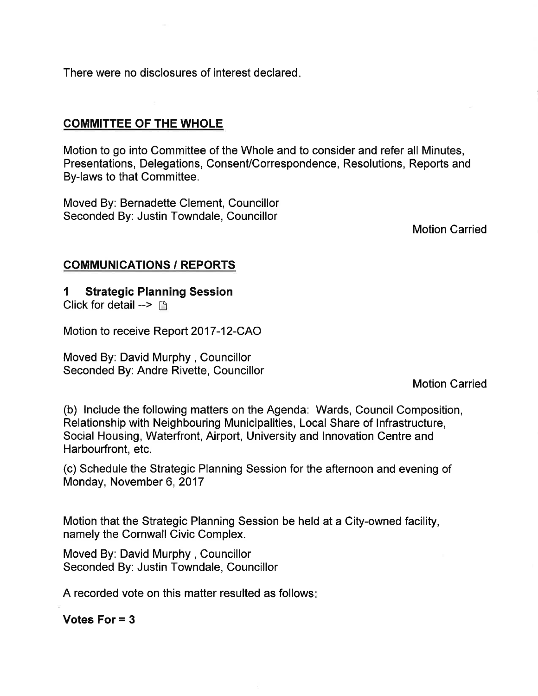There were no disclosures of interest declared

## COMMITTEE OF THE WHOLE

Motion to go into Committee of the Whole and to consider and refer all Minutes, Presentations, Delegations, Consent/Correspondence, Resolutions, Reports and By-laws to that Committee.

Moved By: Bernadette Clement, Councillor Seconded By: Justin Towndale, Councillor

Motion Carried

## COMMUNICATIONS / REPORTS

## 1 Strategic Planning Session

Click for detail -->  $\lceil \cdot \rceil$ 

Motion to receive Report 2017-12-CAO

Moved By: David Murphy, Councillor Seconded By: Andre Rivette, Councillor

Motion Carried

(b) lnclude the following matters on the Agenda: Wards, Council Composition, Relationship with Neighbouring Municipalities, Local Share of lnfrastructure, Social Housing, Waterfront, Airport, University and Innovation Centre and Harbourfront, etc.

(c) Schedule the Strategic Planning Session for the afternoon and evening of Monday, November 6, 2017

Motion that the Strategic Planning Session be held at a City-owned facility, namely the Cornwall Civic Complex.

Moved By: David Murphy, Councillor Seconded By: Justin Towndale, Councillor

A recorded vote on this matter resulted as follows

Votes For = 3